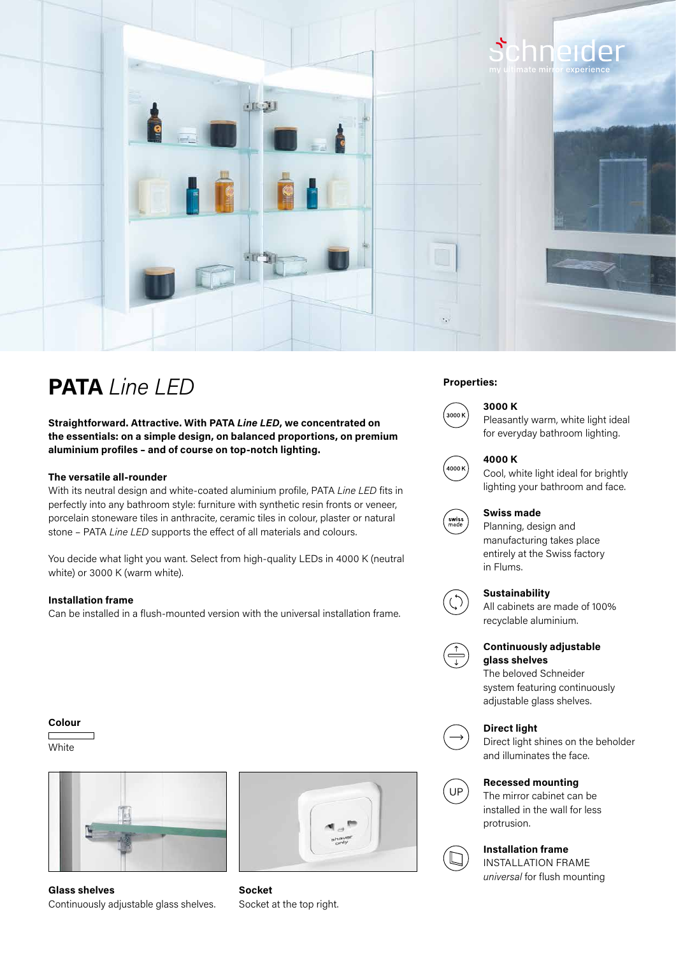

# **PATA** *Line LED* Properties:

**Straightforward. Attractive. With PATA** *Line LED***, we concentrated on the essentials: on a simple design, on balanced proportions, on premium aluminium profiles – and of course on top-notch lighting.**

#### **The versatile all-rounder**

With its neutral design and white-coated aluminium profile, PATA *Line LED* fits in perfectly into any bathroom style: furniture with synthetic resin fronts or veneer, porcelain stoneware tiles in anthracite, ceramic tiles in colour, plaster or natural stone – PATA *Line LED* supports the effect of all materials and colours.

You decide what light you want. Select from high-quality LEDs in 4000 K (neutral white) or 3000 K (warm white).

#### **Installation frame**

Can be installed in a flush-mounted version with the universal installation frame.

### **Colour**

 $\Box$ **White** 



**Glass shelves** Continuously adjustable glass shelves.



**Socket**  Socket at the top right.



### **3000 K**

Pleasantly warm, white light ideal for everyday bathroom lighting.



#### **4000 K**

Cool, white light ideal for brightly lighting your bathroom and face.



#### **Swiss made**

Planning, design and manufacturing takes place entirely at the Swiss factory in Flums.

#### **Sustainability**



All cabinets are made of 100% recyclable aluminium.



#### **Continuously adjustable glass shelves**

The beloved Schneider system featuring continuously adjustable glass shelves.

#### **Direct light**



Direct light shines on the beholder and illuminates the face.



#### **Recessed mounting**

The mirror cabinet can be installed in the wall for less protrusion.



## **Installation frame**

INSTALLATION FRAME *universal* for flush mounting